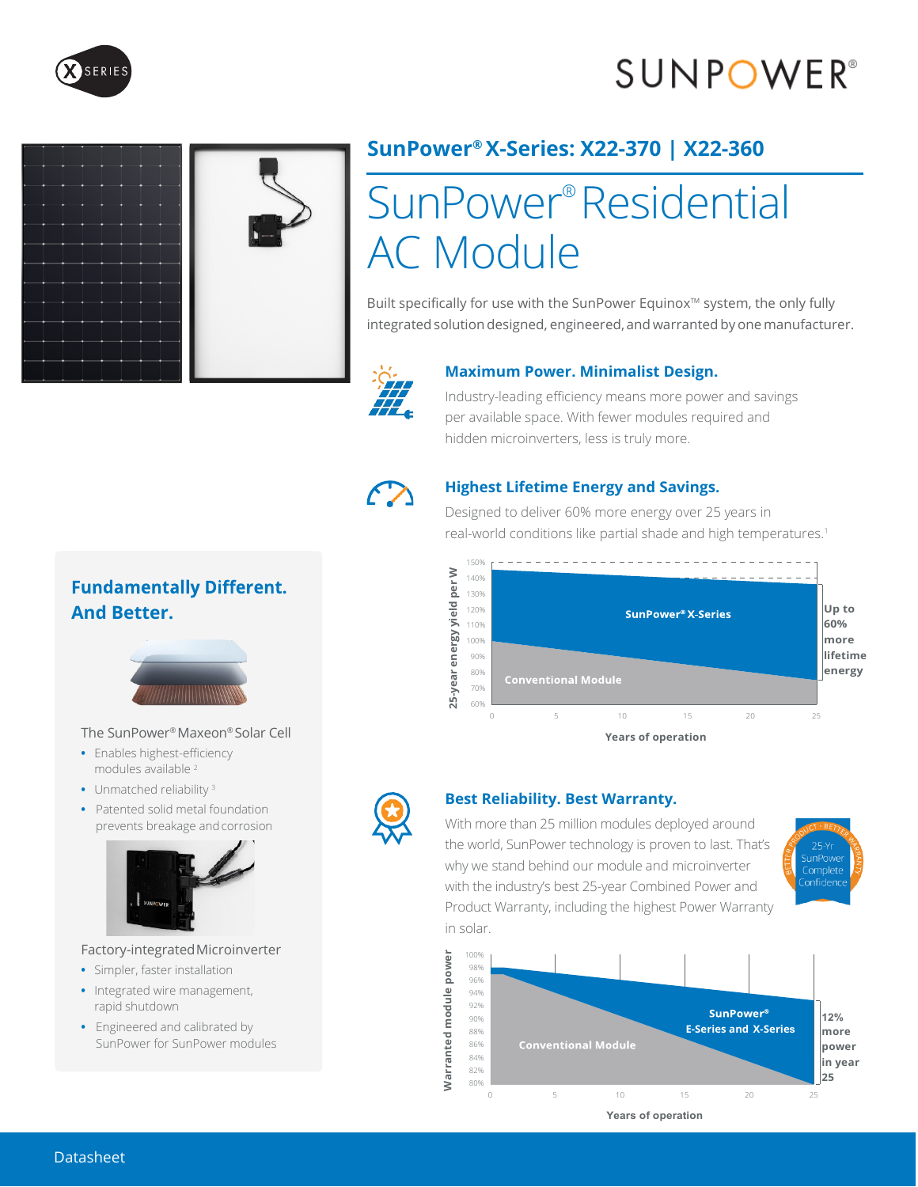## **SUNPOWER**<sup>®</sup>





### **SunPower® X-Series: X22-370 | X22-360**

# SunPower ® Residential AC Module

Built specifically for use with the SunPower Equinox™ system, the only fully integrated solution designed, engineered, and warranted by one manufacturer.



#### **Maximum Power. Minimalist Design.**

Industry-leading efficiency means more power and savings per available space. With fewer modules required and hidden microinverters, less is truly more.



#### **Highest Lifetime Energy and Savings.**

Designed to deliver 60% more energy over 25 years in real-world conditions like partial shade and high temperatures.<sup>1</sup>





#### **Best Reliability. Best Warranty.**

With more than 25 million modules deployed around the world, SunPower technology is proven to last. That's why we stand behind our module and microinverter with the industry's best 25-year Combined Power and Product Warranty, including the highest Power Warranty in solar.





**Fundamentally Different. And Better.** 



#### The SunPower® Maxeon® Solar Cell

- **•** Enables highest-efficiency modules available <sup>2</sup>
- **•** Unmatched reliability <sup>3</sup>
- **•** Patented solid metal foundation prevents breakage andcorrosion



#### Factory-integratedMicroinverter

- **•** Simpler, faster installation
- **•** Integrated wire management, rapid shutdown
- **•** Engineered and calibrated by SunPower for SunPower modules